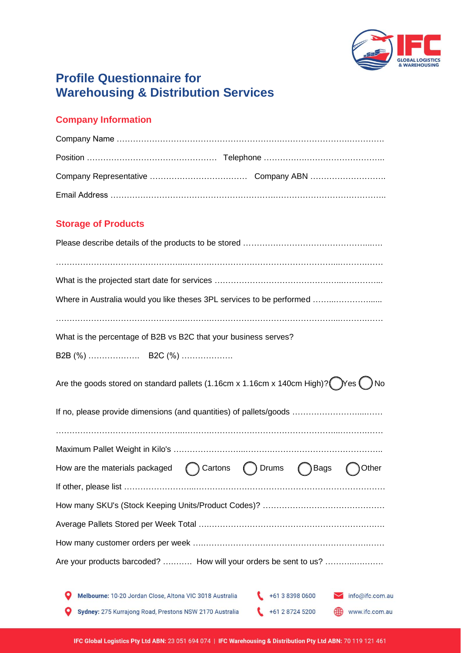

# **Profile Questionnaire for Warehousing & Distribution Services**

## **Company Information**

### **Storage of Products**

| Where in Australia would you like theses 3PL services to be performed                                                |  |  |  |  |
|----------------------------------------------------------------------------------------------------------------------|--|--|--|--|
|                                                                                                                      |  |  |  |  |
| What is the percentage of B2B vs B2C that your business serves?                                                      |  |  |  |  |
|                                                                                                                      |  |  |  |  |
|                                                                                                                      |  |  |  |  |
| Are the goods stored on standard pallets (1.16cm x 1.16cm x 140cm High)? $\binom{1}{2}$ Yes $\binom{1}{2}$ No        |  |  |  |  |
| If no, please provide dimensions (and quantities) of pallets/goods                                                   |  |  |  |  |
|                                                                                                                      |  |  |  |  |
|                                                                                                                      |  |  |  |  |
| How are the materials packaged<br>( ) Cartons ( ) Drums ( ) Bags<br>Other                                            |  |  |  |  |
|                                                                                                                      |  |  |  |  |
|                                                                                                                      |  |  |  |  |
|                                                                                                                      |  |  |  |  |
|                                                                                                                      |  |  |  |  |
| Are your products barcoded?  How will your orders be sent to us?                                                     |  |  |  |  |
| +61 3 8398 0600<br>Melbourne: 10-20 Jordan Close, Altona VIC 3018 Australia<br>$\blacktriangleright$ info@ifc.com.au |  |  |  |  |
| Sydney: 275 Kurrajong Road, Prestons NSW 2170 Australia<br>+61 2 8724 5200<br>www.ifc.com.au                         |  |  |  |  |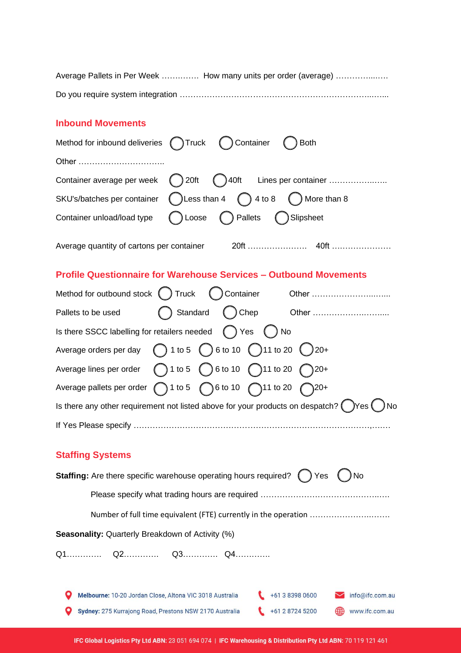| Average Pallets in Per Week  How many units per order (average) |
|-----------------------------------------------------------------|
|                                                                 |

#### **Inbound Movements**

| ( ) Container<br>Method for inbound deliveries () Truck<br><b>Both</b>                                      |
|-------------------------------------------------------------------------------------------------------------|
| Other                                                                                                       |
| () 40ft Lines per container<br>$\binom{3}{2}$ 20ft<br>Container average per week                            |
| $\bigcup$ Less than 4 $\bigcap$ 4 to 8 $\bigcap$ More than 8<br>SKU's/batches per container                 |
| Loose ( ) Pallets ( ) Slipsheet<br>Container unload/load type                                               |
|                                                                                                             |
| <b>Profile Questionnaire for Warehouse Services - Outbound Movements</b>                                    |
|                                                                                                             |
| Pallets to be used                                                                                          |
| Is there SSCC labelling for retailers needed () Yes () No                                                   |
| Average orders per day $\bigcirc$ 1 to 5 $\bigcirc$ 6 to 10 $\bigcirc$ 11 to 20 $\bigcirc$ 20+              |
| Average lines per order $\bigcap$ 1 to 5 $\bigcap$ 6 to 10 $\bigcap$ 11 to 20 $\bigcap$ 20+                 |
| Average pallets per order $( ) 1$ to 5 $( ) 6$ to 10 $( )$ 11 to 20 $( )$ 20+                               |
| Is there any other requirement not listed above for your products on despatch? $\bigcirc$ Yes $\bigcirc$ No |
|                                                                                                             |

## **Staffing Systems**

| <b>Staffing:</b> Are there specific warehouse operating hours required? () | Yes<br>) No                            |
|----------------------------------------------------------------------------|----------------------------------------|
|                                                                            |                                        |
|                                                                            |                                        |
| <b>Seasonality:</b> Quarterly Breakdown of Activity (%)                    |                                        |
|                                                                            |                                        |
|                                                                            |                                        |
| Melbourne: 10-20 Jordan Close, Altona VIC 3018 Australia                   | $+61383980600$<br>info@ifc.com.au      |
| Sydney: 275 Kurrajong Road, Prestons NSW 2170 Australia                    | +61 2 8724 5200<br>∰<br>www.ifc.com.au |
|                                                                            |                                        |